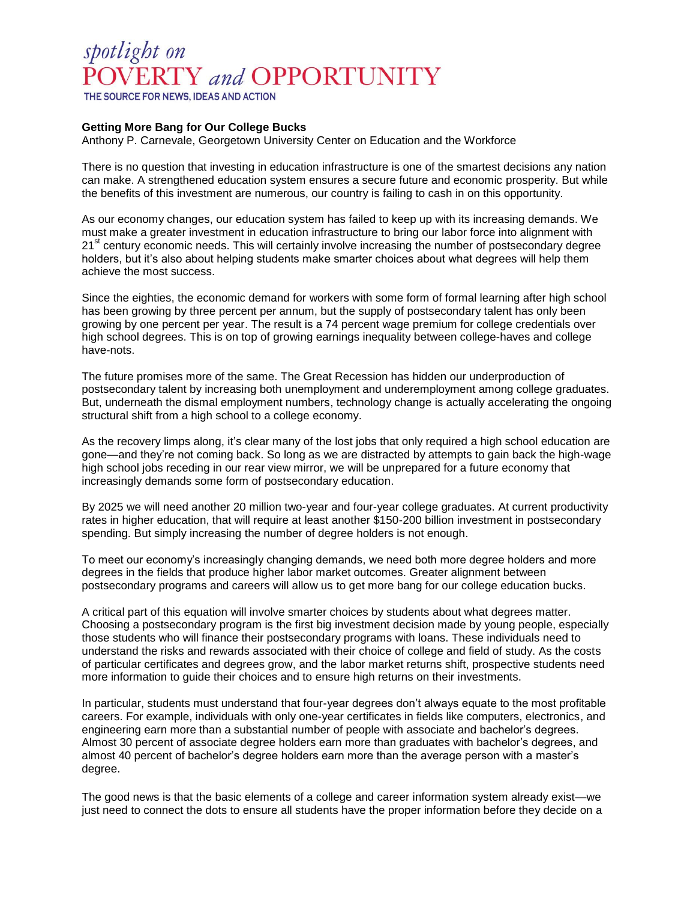## spotlight on POVERTY and OPPORTUNITY

THE SOURCE FOR NEWS, IDEAS AND ACTION

## **Getting More Bang for Our College Bucks**

Anthony P. Carnevale, Georgetown University Center on Education and the Workforce

There is no question that investing in education infrastructure is one of the smartest decisions any nation can make. A strengthened education system ensures a secure future and economic prosperity. But while the benefits of this investment are numerous, our country is failing to cash in on this opportunity.

As our economy changes, our education system has failed to keep up with its increasing demands. We must make a greater investment in education infrastructure to bring our labor force into alignment with 21<sup>st</sup> century economic needs. This will certainly involve increasing the number of postsecondary degree holders, but it's also about helping students make smarter choices about what degrees will help them achieve the most success.

Since the eighties, the economic demand for workers with some form of formal learning after high school has been growing by three percent per annum, but the supply of postsecondary talent has only been growing by one percent per year. The result is a 74 percent wage premium for college credentials over high school degrees. This is on top of growing earnings inequality between college-haves and college have-nots.

The future promises more of the same. The Great Recession has hidden our underproduction of postsecondary talent by increasing both unemployment and underemployment among college graduates. But, underneath the dismal employment numbers, technology change is actually accelerating the ongoing structural shift from a high school to a college economy.

As the recovery limps along, it's clear many of the lost jobs that only required a high school education are gone—and they're not coming back. So long as we are distracted by attempts to gain back the high-wage high school jobs receding in our rear view mirror, we will be unprepared for a future economy that increasingly demands some form of postsecondary education.

By 2025 we will need another 20 million two-year and four-year college graduates. At current productivity rates in higher education, that will require at least another \$150-200 billion investment in postsecondary spending. But simply increasing the number of degree holders is not enough.

To meet our economy's increasingly changing demands, we need both more degree holders and more degrees in the fields that produce higher labor market outcomes. Greater alignment between postsecondary programs and careers will allow us to get more bang for our college education bucks.

A critical part of this equation will involve smarter choices by students about what degrees matter. Choosing a postsecondary program is the first big investment decision made by young people, especially those students who will finance their postsecondary programs with loans. These individuals need to understand the risks and rewards associated with their choice of college and field of study. As the costs of particular certificates and degrees grow, and the labor market returns shift, prospective students need more information to guide their choices and to ensure high returns on their investments.

In particular, students must understand that four-year degrees don't always equate to the most profitable careers. For example, individuals with only one-year certificates in fields like computers, electronics, and engineering earn more than a substantial number of people with associate and bachelor's degrees. Almost 30 percent of associate degree holders earn more than graduates with bachelor's degrees, and almost 40 percent of bachelor's degree holders earn more than the average person with a master's degree.

The good news is that the basic elements of a college and career information system already exist—we just need to connect the dots to ensure all students have the proper information before they decide on a